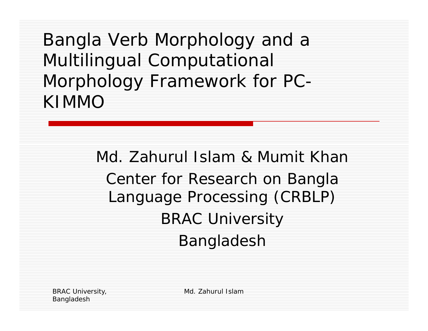Bangla Verb Morphology and a Multilingual Computational Morphology Framework for PC-KIMMO

> Md. Zahurul Islam & Mumit KhanCenter for Research on Bangla Language Processing (CRBLP) BRAC University Bangladesh

BRAC University, Bangladesh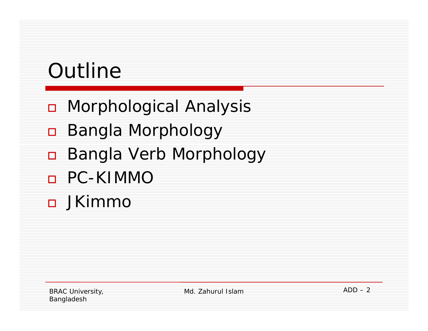# Outline

- $\Box$ Morphological Analysis
- $\Box$ Bangla Morphology
- $\Box$ Bangla Verb Morphology
- $\Box$ PC-KIMMO
- JKimmo

BRAC University, Bangladesh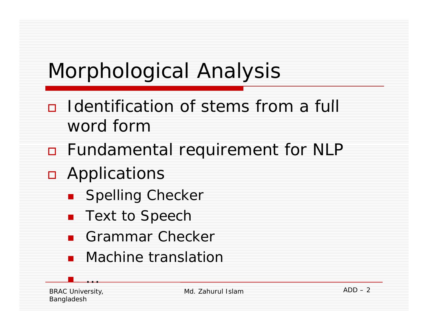## Morphological Analysis

- n Identification of stems from a full word form
- n Fundamental requirement for NLP
- **n** Applications
	- **B** Spelling Checker
	- Text to Speech
	- Grammar Checker
	- **•** Machine translation

BRAC University, Bangladesh

…

Md. Zahurul Islam

 $ADD - 2$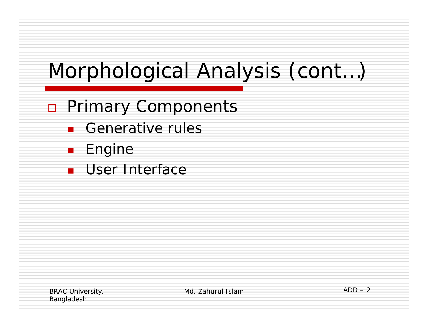# Morphological Analysis (cont…)

- n Primary Components
	- Generative rules
	- . Engine
	- User Interface

BRAC University, Bangladesh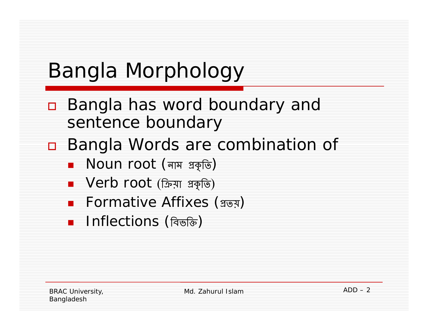# Bangla Morphology

- П. Bangla has word boundary and sentence boundary
- $\Box$  Bangla Words are combination of
	- ∎  $\,$  Noun root (নাম প্রকৃতি)
	- ∎ Verb root (ক্রিয়া প্রকৃতি)
	- Formative Affixes (গ্ৰত্য়)
	- ∎ Inflections (বিভক্তি)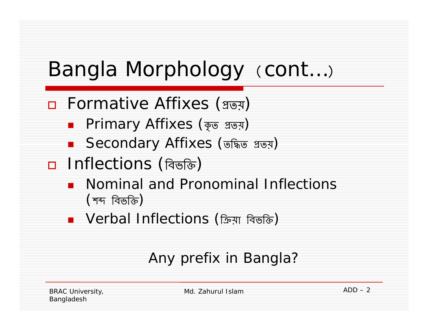#### Bangla Morphology (cont...)

- $\Box$  Formative Affixes (গ্রত্য়)
	- ∎ Primary Affixes (কৃত গ্ৰত্য়)
	- ∎ Secondary Affixes (তদ্ধিত গ্রভ্য়)
- $\Box$  Inflections (বিভক্তি)
	- **•** Nominal and Pronominal Inflections (শব্দ বিভক্তি)
	- ∎ Verbal Inflections (ক্রিয়া বিভক্তি)

#### Any prefix in Bangla?

BRAC University, Bangladesh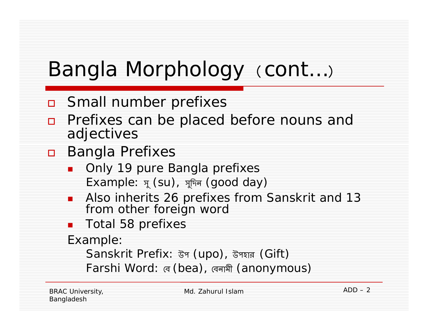## Bangla Morphology (cont...)

- $\Box$ Small number prefixes
- $\Box$  Prefixes can be placed before nouns and adjectives
- □ Bangla Prefixes
	- Only 19 pure Bangla prefixes Example:  $\pi$  (su),  $\pi$ দিন (good day)
	- $\overline{\phantom{a}}$ **Also inherits 26 prefixes from Sanskrit and 13** from other foreign word
	- Π Total 58 prefixes

Example:

Sanskrit Prefix: উগ (upo), উপ্যার (Gift)

Farshi Word: ৰে (bea), ৰেনমী (anonymous)

BRAC University, Bangladesh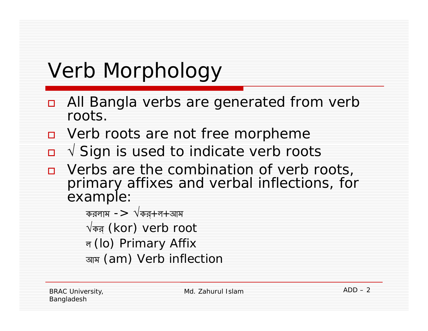## Verb Morphology

- $\Box$  All Bangla verbs are generated from verb roots.
- **D** Verb roots are not free morpheme
- √ Sign is used to indicate verb roots
- Verbs are the combination of verb roots, primary affixes and verbal inflections, for example:
	- করলাম – $> \sqrt$ কর্ $+$ ল $+$ আম
	- $\sqrt$ कब़ (kor) verb root
	- ল (lo) Primary Affix
	- আম (am) Verb inflection

BRAC University, Bangladesh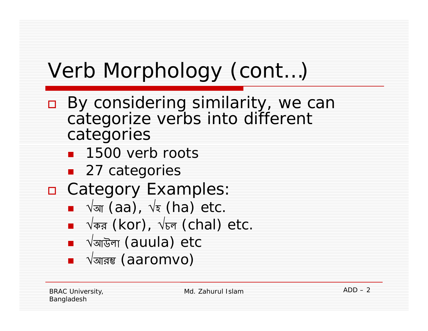- $\Box$ By considering similarity, we can categorize verbs into different categories
	- **1500 verb roots**
	- 27 categories
- n Category Examples:
	- √ <sup>আ</sup> (aa), √ হ (ha) etc.
	- √কর (kor), √চল (chal) etc.
	- ∎ √অাউলা (auula) etc
	- ∎ √আরম্ভ (aaromvo)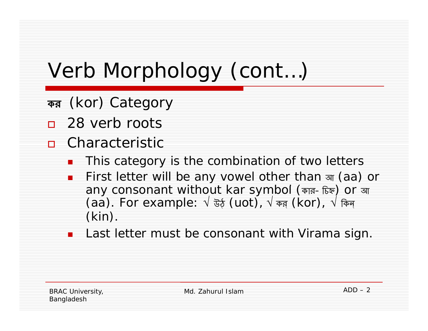- কর (kor) Category
- □ 28 verb roots
- Characteristic
	- Π This category is the combination of two letters
	- $\blacksquare$ ■ First letter will be any vowel other than आ (aa) or any consonant without kar symbol (কার - চিহ্ন**) Or** আ (aa). For example:  $\sqrt{3}\xi$  (uot),  $\sqrt{3}\pi$  (kor),  $\sqrt{3}\pi$ क् (kin).
	- Π Last letter must be consonant with Virama sign.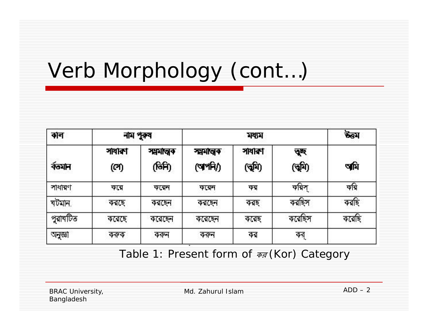| কাল      | নাম পুরুষ     |                     |                    | উত্তম            |               |       |
|----------|---------------|---------------------|--------------------|------------------|---------------|-------|
| र्वलभान  | সাধাৰণ<br>(ෆ) | সময়াত্মক<br>(जिनि) | সমস্বৰণ<br>(অপনি/) | সাধাৰণ<br>(বৃষি) | ত্ৰছ<br>(বমি) | অমি   |
| সাধারণ   | করে           | ককো                 | ককোন               | কর               | করিস          | কৰি   |
| খটমান,   | করছে          | করছেন               | করছেন              | করছ              | করছিস         | করছি  |
| পুরাবটিত | করেছে         | করেছেন              | করেছেন             | করেছ             | করেছিস        | করেছি |
| অনুজ্ঞা  | কৰুক          | ককন                 | ককল                | কর               | কর্           |       |

*Table 1: Present form of* কর *(Kor) Category*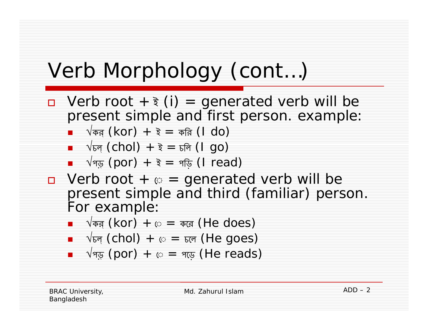- □ Verb root + ₹ (i) = generated verb will be present simple and first person. example:
	- $\Box$   $\forall$ কর্ (<code>kor</code>) + ই = করি (<code>l do</code>)
	- ∎  $\sqrt{5}$ ৰ্ (chol) + ই =  $=$  চলি (I go)
	- $\Box$   $\forall$ প্ড় (por) + ই = পড়ি (I read)
- $\Box$  Verb root +  $\odot$  = generated verb will be present simple and third (familiar) person. For example:
	- ∎  $\sqrt{ }$ কর্ (<code>kor</code>) + ে = করে (<code>He does</code>)
	- $\blacksquare$   $\forall$ চল্ (chol) + ে = চলে (He goes)
	- $\Box$  √প্ড় (por) + ে = পড়ে (He reads)

BRAC University, Bangladesh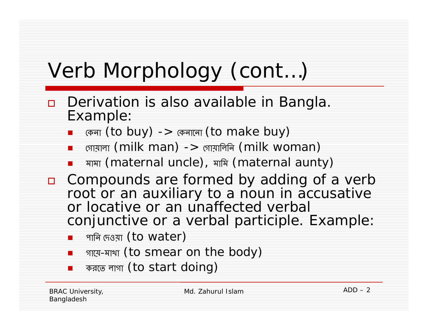- $\Box$ Derivation is also available in Bangla. Example:
	- × কেনা (to buy) -> কেনালো (to make buy)
	- ×  $\Box$  গোয়ালা (milk man) -> গোয়ালিনি (milk woman)
	- Π মামা (maternal uncle), মািম (maternal aunty)
- compounds are formed by adding of a verb root or an auxiliary to a noun in accusative or locative or an unaffected verbal conjunctive or a verbal participle. Example:
	- পাৰি দেওয়া <code>(to water)</code>
	- $\blacksquare$ ■ গায়ে-মাখা (to smear on the body)
	- Π করেত লাগা (to start doing)

BRAC University, Bangladesh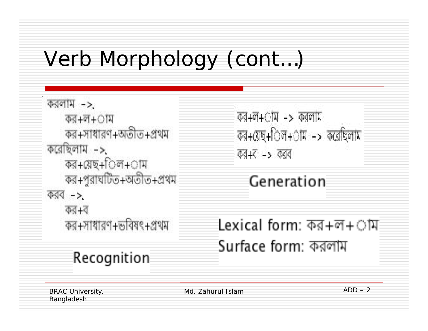```
করলাম ->
   কর+ল+াম
   কর+সাধারণ+অতীত+প্রথম
করেছিলাম ->
   কর+য়েছ+িল+াম
   কর+পুরাঘটিত+অতীত+প্রথম
করব ->
   কর+ব
   কর+সাধারণ+ভবিষৎ+প্রথম
```
Recognition

 $\overline{494} + \overline{0} + \overline{0} + \overline{0}$   $\overline{0}$  and  $\overline{1}$ কর+য়েছ+িল+াম -> করেছিলাম কর+ব -> করব

Generation

Lexical form: কর+ল+াম Surface form: করলাম

BRAC University, Bangladesh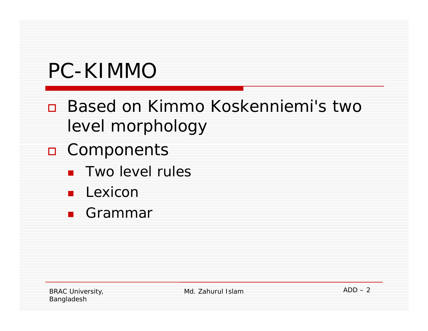### PC-KIMMO

- □ Based on Kimmo Koskenniemi's two level morphology
- n Components
	- **Two level rules**
	- **Lexicon**
	- **■** Grammar

BRAC University, Bangladesh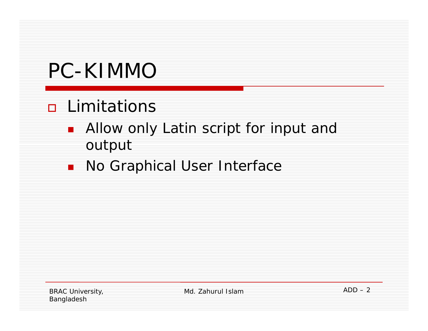#### PC-KIMMO

#### **n** Limitations

- Allow only Latin script for input and output
- No Graphical User Interface  $\blacksquare$

**BRAC University,** Bangladesh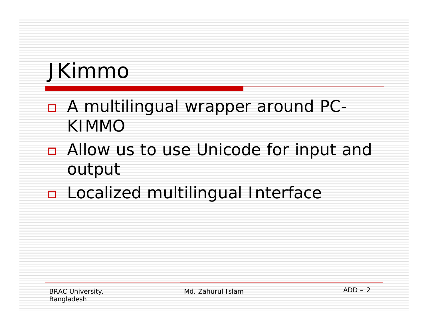## JKimmo

- n A multilingual wrapper around PC-**KIMMO**
- Allow us to use Unicode for input and output
- **n** Localized multilingual Interface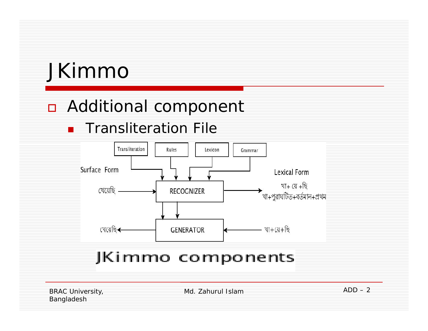#### JKimmo

#### **n** Additional component

#### **Transliteration File**



#### JKimmo components

**BRAC University,** Bangladesh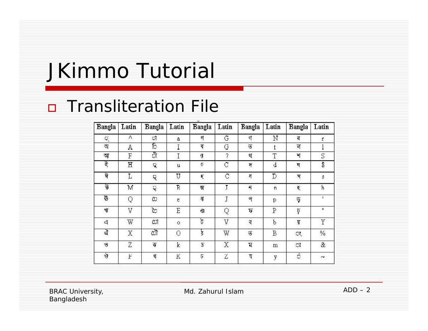#### JKimmo Tutorial

#### **D** Transliteration File

| <b>Bangla</b> | Latin | Bangla                | Latin       | <b>Bangla</b> | Latin        | <b>Bangla</b>           | Latin | <b>Bangla</b>    | Latin                     |
|---------------|-------|-----------------------|-------------|---------------|--------------|-------------------------|-------|------------------|---------------------------|
| Q             | Λ     | ी                     | ā.          | ণ             | G            | 4                       | Ν     | ৰ                | ť.                        |
| অ             | A     | ি                     | Ι           | य             | G            | T                       | t     | ল                |                           |
| আ             | F     | ी                     | Ι           | 僵             | ?            | থ                       | T     | 퍼                | S                         |
| इ             | Η     | 袋                     | и           | p             | Ċ            | 厅                       | ₫     | মৃ               | \$                        |
| ঈ             | Ţ,    | 環                     | U           | K,            | C            | ধ                       | D     | ञ                | Ø                         |
| উ             | M     | Q                     | R           | 贾             | $\mathsf{T}$ | $\overline{\mathbf{r}}$ | ñ     | ₹                | ħ                         |
| ট             | Q     | C)                    | $\epsilon$  | 祁             | Ţ            | প                       | р     | ψ                | Ŧ.                        |
| 4             | V     | $\mathcal{C}^{\star}$ | Ε           | 43            | Q            | ₹                       | Ρ     | Þ                | H.                        |
| q             | W     | C.T                   | $\circ$     | ট             | V            | ব                       | b     | Ţ                | Y.                        |
| ঐ             | X     | $c\bar{a}$            | $\circ$     | ₹             | W            | $\overline{5}$          | B     | 饮                | $\%$                      |
| B,            | Z     | ক                     | $\mathbf k$ | 5             | X            | <b>Z</b>                | m     | $\mathbb{C}^n_0$ | &                         |
| Ý             | F     | খ                     | К           | $\sqrt{2}$    | Ζ            | য                       | y     | ñ                | $\widetilde{\phantom{a}}$ |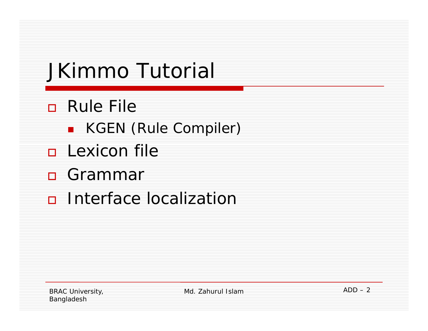# JKimmo Tutorial

- **D** Rule File
	- **E** KGEN (Rule Compiler)
- **<u>E</u>** Lexicon file
- □ Grammar
- n Interface localization

**BRAC University,** Bangladesh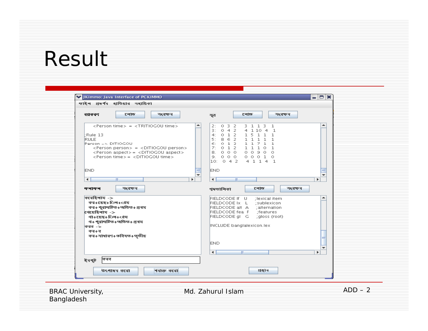#### Result

ŀ

| V JKimmo: Java Interface of PCKIMMO<br>ফাইল প্ৰদৰ্শৰ হাতিয়াৰ সহায়িকা                                                                                                                                                                                                                                                                                                          |                                                                                                                                                                                                                                                                                                                                                               | $\Box$                                                      |
|---------------------------------------------------------------------------------------------------------------------------------------------------------------------------------------------------------------------------------------------------------------------------------------------------------------------------------------------------------------------------------|---------------------------------------------------------------------------------------------------------------------------------------------------------------------------------------------------------------------------------------------------------------------------------------------------------------------------------------------------------------|-------------------------------------------------------------|
| टनाড<br>সংবক্ষৰ<br>ব্যাকরণ                                                                                                                                                                                                                                                                                                                                                      | टनाড<br>সূত্র                                                                                                                                                                                                                                                                                                                                                 | সংবক্ষৰ                                                     |
| <person time=""> = <tritiogou time=""><br/>Rule 13<br/><b>RULE</b><br/>Person =&gt; DITIOGOU<br/><person person=""> = <ditiogou person=""><br/><person aspect=""> = <ditiogou aspect=""><br/><person time=""> = <ditiogou time=""><br/><b>END</b><br/><math>\blacktriangleleft</math><br/>TIL.</ditiogou></person></ditiogou></person></ditiogou></person></tritiogou></person> | $0 \t3 \t2$<br>3 1 1 3<br>2:<br>1<br>4 1 10 4 1<br>3:<br>042<br>4: 0 1 2 1 5 1 1<br>-1<br>$\begin{array}{cccccc} 5: & 8 & 6 & 2 & 1 & 1 & 1 & 1 \\ 6: & 0 & 1 & 2 & 1 & 1 & 7 & 1 \end{array}$<br>$\mathbf{1}$<br>$\mathbf{1}$<br>01211101<br>7:<br>8. 0 0 0 0 0 9 0 0<br>9. 000 00010<br>10: 0 4 2 4 1 1 4 1<br><b>END</b><br>$\blacktriangleleft$<br>ь<br>m | ▲<br>=<br>$\overline{\phantom{a}}$<br>$\blacktriangleright$ |
| সংবক্ষন<br>कनाकन                                                                                                                                                                                                                                                                                                                                                                | टनाড<br>খদতালিকা                                                                                                                                                                                                                                                                                                                                              | সংবক্ষৰ                                                     |
| $\phi$ রেছিলাম - $>$<br>কর+স্নেছ+িল+ােস<br>কৰ+ পুৰামটিত+অতিত+ প্ৰথম<br>খেয়েছিলাম $\rightarrow$<br>ৰা+য়েছ+িল+ােষ<br>ৰ+পুৰাঘটিত+অতিত+প্ৰথম<br>কৰৰ -><br>কৰ+ব<br>কর+সাধারণ+ডবিষত+তৃতীয়                                                                                                                                                                                          | FIELDCODE If U<br>(lexical item<br>FIELDCODE Ix L ;sublexicon<br>FIELDCODE alt A<br>; alternation<br>FIELDCODE fea F<br>;features<br>FIELDCODE gl G<br>; gloss (root)<br>INCLUDE banglalexicon.lex                                                                                                                                                            | ۰                                                           |
|                                                                                                                                                                                                                                                                                                                                                                                 | <b>END</b><br>$\overline{\phantom{0}}$<br>$\mathbb{H}$                                                                                                                                                                                                                                                                                                        | ≡<br>۰<br>$\blacktriangleright$                             |
| কৰৰ<br>ইনপুট<br>শৰাক্ত কৰো<br>উৎপাদন করো                                                                                                                                                                                                                                                                                                                                        | গ্ৰস্থাৰ                                                                                                                                                                                                                                                                                                                                                      |                                                             |
| <b>BRAC University,</b>                                                                                                                                                                                                                                                                                                                                                         | Md. Zahurul Islam                                                                                                                                                                                                                                                                                                                                             |                                                             |